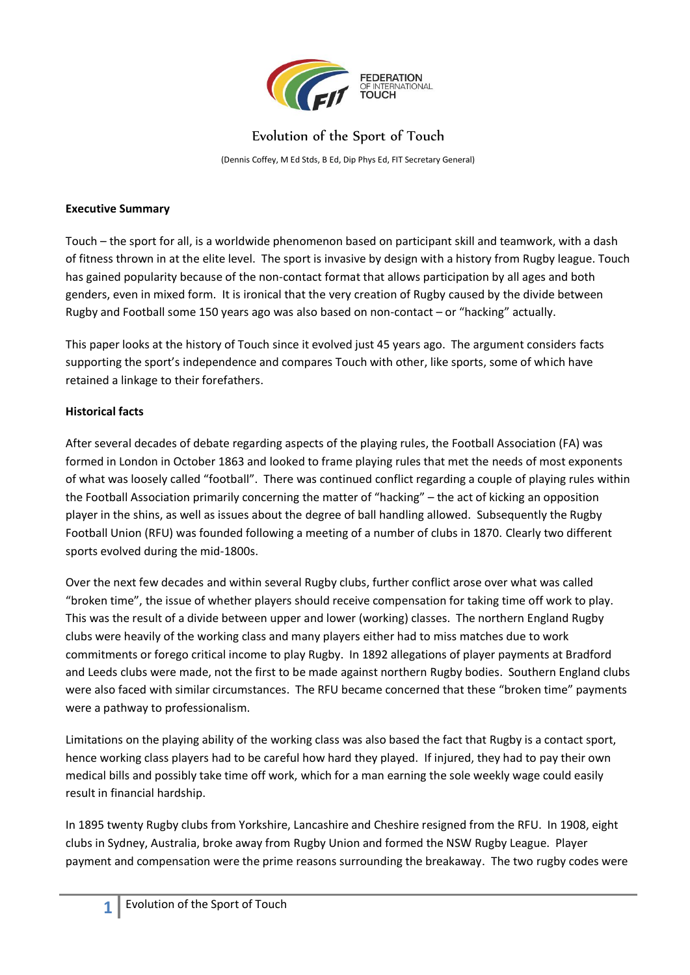

# Evolution of the Sport of Touch

(Dennis Coffey, M Ed Stds, B Ed, Dip Phys Ed, FIT Secretary General)

### **Executive Summary**

Touch – the sport for all, is a worldwide phenomenon based on participant skill and teamwork, with a dash of fitness thrown in at the elite level. The sport is invasive by design with a history from Rugby league. Touch has gained popularity because of the non-contact format that allows participation by all ages and both genders, even in mixed form. It is ironical that the very creation of Rugby caused by the divide between Rugby and Football some 150 years ago was also based on non-contact – or "hacking" actually.

This paper looks at the history of Touch since it evolved just 45 years ago. The argument considers facts supporting the sport's independence and compares Touch with other, like sports, some of which have retained a linkage to their forefathers.

# **Historical facts**

After several decades of debate regarding aspects of the playing rules, the Football Association (FA) was formed in London in October 1863 and looked to frame playing rules that met the needs of most exponents of what was loosely called "football". There was continued conflict regarding a couple of playing rules within the Football Association primarily concerning the matter of "hacking" – the act of kicking an opposition player in the shins, as well as issues about the degree of ball handling allowed. Subsequently the Rugby Football Union (RFU) was founded following a meeting of a number of clubs in 1870. Clearly two different sports evolved during the mid-1800s.

Over the next few decades and within several Rugby clubs, further conflict arose over what was called "broken time", the issue of whether players should receive compensation for taking time off work to play. This was the result of a divide between upper and lower (working) classes. The northern England Rugby clubs were heavily of the working class and many players either had to miss matches due to work commitments or forego critical income to play Rugby. In 1892 allegations of player payments at Bradford and Leeds clubs were made, not the first to be made against northern Rugby bodies. Southern England clubs were also faced with similar circumstances. The RFU became concerned that these "broken time" payments were a pathway to professionalism.

Limitations on the playing ability of the working class was also based the fact that Rugby is a contact sport, hence working class players had to be careful how hard they played. If injured, they had to pay their own medical bills and possibly take time off work, which for a man earning the sole weekly wage could easily result in financial hardship.

In 1895 twenty Rugby clubs from Yorkshire, Lancashire and Cheshire resigned from the RFU. In 1908, eight clubs in Sydney, Australia, broke away from Rugby Union and formed the NSW Rugby League. Player payment and compensation were the prime reasons surrounding the breakaway. The two rugby codes were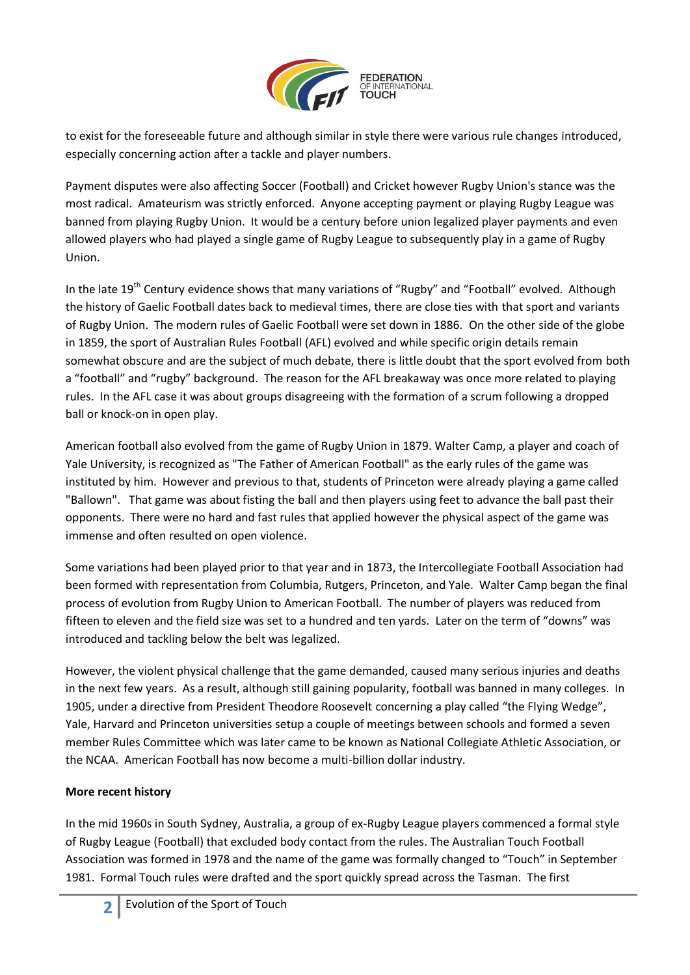

to exist for the foreseeable future and although similar in style there were various rule changes introduced, especially concerning action after a tackle and player numbers.

Payment disputes were also affecting Soccer (Football) and Cricket however Rugby Union's stance was the most radical. Amateurism was strictly enforced. Anyone accepting payment or playing Rugby League was banned from playing Rugby Union. It would be a century before union legalized player payments and even allowed players who had played a single game of Rugby League to subsequently play in a game of Rugby Union.

In the late 19<sup>th</sup> Century evidence shows that many variations of "Rugby" and "Football" evolved. Although the history of Gaelic Football dates back to medieval times, there are close ties with that sport and variants of Rugby Union. The modern rules of Gaelic Football were set down in 1886. On the other side of the globe in 1859, the sport of Australian Rules Football (AFL) evolved and while specific origin details remain somewhat obscure and are the subject of much debate, there is little doubt that the sport evolved from both a "football" and "rugby" background. The reason for the AFL breakaway was once more related to playing rules. In the AFL case it was about groups disagreeing with the formation of a scrum following a dropped ball or knock-on in open play.

American football also evolved from the game of Rugby Union in 1879. Walter Camp, a player and coach of Yale University, is recognized as "The Father of American Football" as the early rules of the game was instituted by him. However and previous to that, students of Princeton were already playing a game called "Ballown". That game was about fisting the ball and then players using feet to advance the ball past their opponents. There were no hard and fast rules that applied however the physical aspect of the game was immense and often resulted on open violence.

Some variations had been played prior to that year and in 1873, the Intercollegiate Football Association had been formed with representation from Columbia, Rutgers, Princeton, and Yale. Walter Camp began the final process of evolution from Rugby Union to American Football. The number of players was reduced from fifteen to eleven and the field size was set to a hundred and ten yards. Later on the term of "downs" was introduced and tackling below the belt was legalized.

However, the violent physical challenge that the game demanded, caused many serious injuries and deaths in the next few years. As a result, although still gaining popularity, football was banned in many colleges. In 1905, under a directive from President Theodore Roosevelt concerning a play called "the Flying Wedge", Yale, Harvard and Princeton universities setup a couple of meetings between schools and formed a seven member Rules Committee which was later came to be known as National Collegiate Athletic Association, or the NCAA. American Football has now become a multi-billion dollar industry.

# **More recent history**

In the mid 1960s in South Sydney, Australia, a group of ex-Rugby League players commenced a formal style of Rugby League (Football) that excluded body contact from the rules. The Australian Touch Football Association was formed in 1978 and the name of the game was formally changed to "Touch" in September 1981. Formal Touch rules were drafted and the sport quickly spread across the Tasman. The first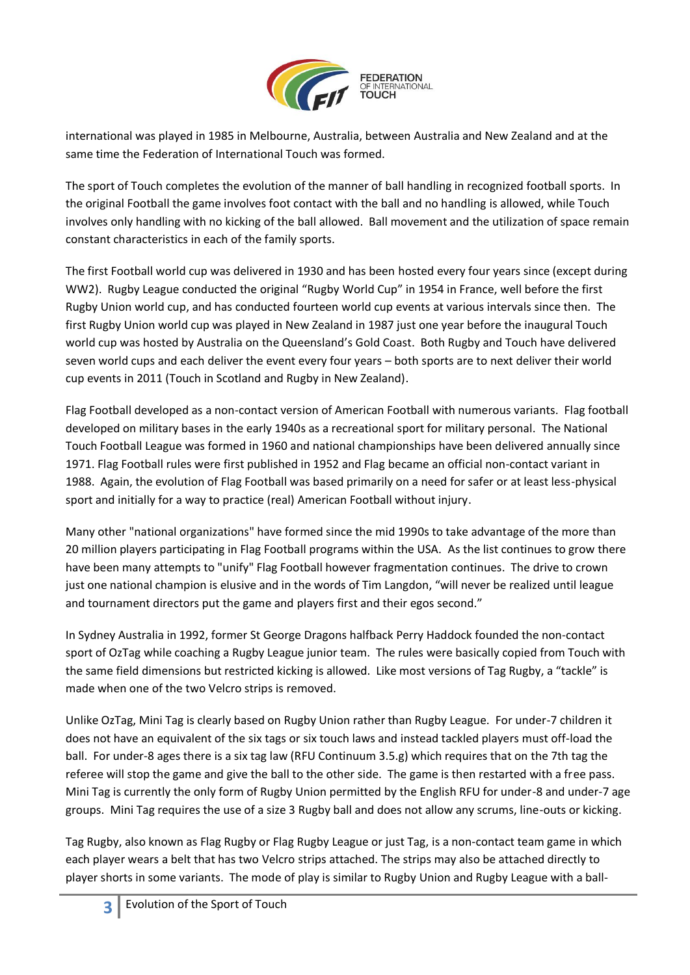

international was played in 1985 in Melbourne, Australia, between Australia and New Zealand and at the same time the Federation of International Touch was formed.

The sport of Touch completes the evolution of the manner of ball handling in recognized football sports. In the original Football the game involves foot contact with the ball and no handling is allowed, while Touch involves only handling with no kicking of the ball allowed. Ball movement and the utilization of space remain constant characteristics in each of the family sports.

The first Football world cup was delivered in 1930 and has been hosted every four years since (except during WW2). Rugby League conducted the original "Rugby World Cup" in 1954 in France, well before the first Rugby Union world cup, and has conducted fourteen world cup events at various intervals since then. The first Rugby Union world cup was played in New Zealand in 1987 just one year before the inaugural Touch world cup was hosted by Australia on the Queensland's Gold Coast. Both Rugby and Touch have delivered seven world cups and each deliver the event every four years – both sports are to next deliver their world cup events in 2011 (Touch in Scotland and Rugby in New Zealand).

Flag Football developed as a non-contact version of American Football with numerous variants. Flag football developed on military bases in the early 1940s as a recreational sport for military personal. The National Touch Football League was formed in 1960 and national championships have been delivered annually since 1971. Flag Football rules were first published in 1952 and Flag became an official non-contact variant in 1988. Again, the evolution of Flag Football was based primarily on a need for safer or at least less-physical sport and initially for a way to practice (real) American Football without injury.

Many other "national organizations" have formed since the mid 1990s to take advantage of the more than 20 million players participating in Flag Football programs within the USA. As the list continues to grow there have been many attempts to "unify" Flag Football however fragmentation continues. The drive to crown just one national champion is elusive and in the words of Tim Langdon, "will never be realized until league and tournament directors put the game and players first and their egos second."

In Sydney Australia in 1992, former St George Dragons halfback Perry Haddock founded the non-contact sport of OzTag while coaching a Rugby League junior team. The rules were basically copied from Touch with the same field dimensions but restricted kicking is allowed. Like most versions of Tag Rugby, a "tackle" is made when one of the two Velcro strips is removed.

Unlike OzTag, Mini Tag is clearly based on Rugby Union rather than Rugby League. For under-7 children it does not have an equivalent of the six tags or six touch laws and instead tackled players must off-load the ball. For under-8 ages there is a six tag law (RFU Continuum 3.5.g) which requires that on the 7th tag the referee will stop the game and give the ball to the other side. The game is then restarted with a free pass. Mini Tag is currently the only form of Rugby Union permitted by the English RFU for under-8 and under-7 age groups. Mini Tag requires the use of a size 3 Rugby ball and does not allow any scrums, line-outs or kicking.

Tag Rugby, also known as Flag Rugby or Flag Rugby League or just Tag, is a non-contact team game in which each player wears a belt that has two Velcro strips attached. The strips may also be attached directly to player shorts in some variants. The mode of play is similar to Rugby Union and Rugby League with a ball-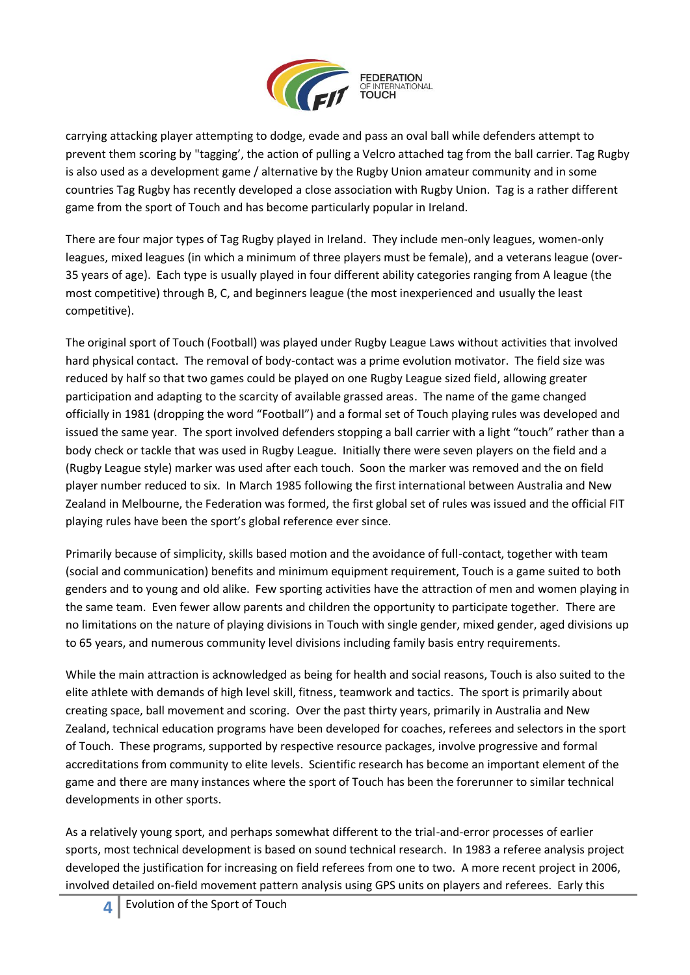

carrying attacking player attempting to dodge, evade and pass an oval ball while defenders attempt to prevent them scoring by "tagging', the action of pulling a Velcro attached tag from the ball carrier. Tag Rugby is also used as a development game / alternative by the Rugby Union amateur community and in some countries Tag Rugby has recently developed a close association with Rugby Union. Tag is a rather different game from the sport of Touch and has become particularly popular in Ireland.

There are four major types of Tag Rugby played in Ireland. They include men-only leagues, women-only leagues, mixed leagues (in which a minimum of three players must be female), and a veterans league (over-35 years of age). Each type is usually played in four different ability categories ranging from A league (the most competitive) through B, C, and beginners league (the most inexperienced and usually the least competitive).

The original sport of Touch (Football) was played under Rugby League Laws without activities that involved hard physical contact. The removal of body-contact was a prime evolution motivator. The field size was reduced by half so that two games could be played on one Rugby League sized field, allowing greater participation and adapting to the scarcity of available grassed areas. The name of the game changed officially in 1981 (dropping the word "Football") and a formal set of Touch playing rules was developed and issued the same year. The sport involved defenders stopping a ball carrier with a light "touch" rather than a body check or tackle that was used in Rugby League. Initially there were seven players on the field and a (Rugby League style) marker was used after each touch. Soon the marker was removed and the on field player number reduced to six. In March 1985 following the first international between Australia and New Zealand in Melbourne, the Federation was formed, the first global set of rules was issued and the official FIT playing rules have been the sport's global reference ever since.

Primarily because of simplicity, skills based motion and the avoidance of full-contact, together with team (social and communication) benefits and minimum equipment requirement, Touch is a game suited to both genders and to young and old alike. Few sporting activities have the attraction of men and women playing in the same team. Even fewer allow parents and children the opportunity to participate together. There are no limitations on the nature of playing divisions in Touch with single gender, mixed gender, aged divisions up to 65 years, and numerous community level divisions including family basis entry requirements.

While the main attraction is acknowledged as being for health and social reasons, Touch is also suited to the elite athlete with demands of high level skill, fitness, teamwork and tactics. The sport is primarily about creating space, ball movement and scoring. Over the past thirty years, primarily in Australia and New Zealand, technical education programs have been developed for coaches, referees and selectors in the sport of Touch. These programs, supported by respective resource packages, involve progressive and formal accreditations from community to elite levels. Scientific research has become an important element of the game and there are many instances where the sport of Touch has been the forerunner to similar technical developments in other sports.

As a relatively young sport, and perhaps somewhat different to the trial-and-error processes of earlier sports, most technical development is based on sound technical research. In 1983 a referee analysis project developed the justification for increasing on field referees from one to two. A more recent project in 2006, involved detailed on-field movement pattern analysis using GPS units on players and referees. Early this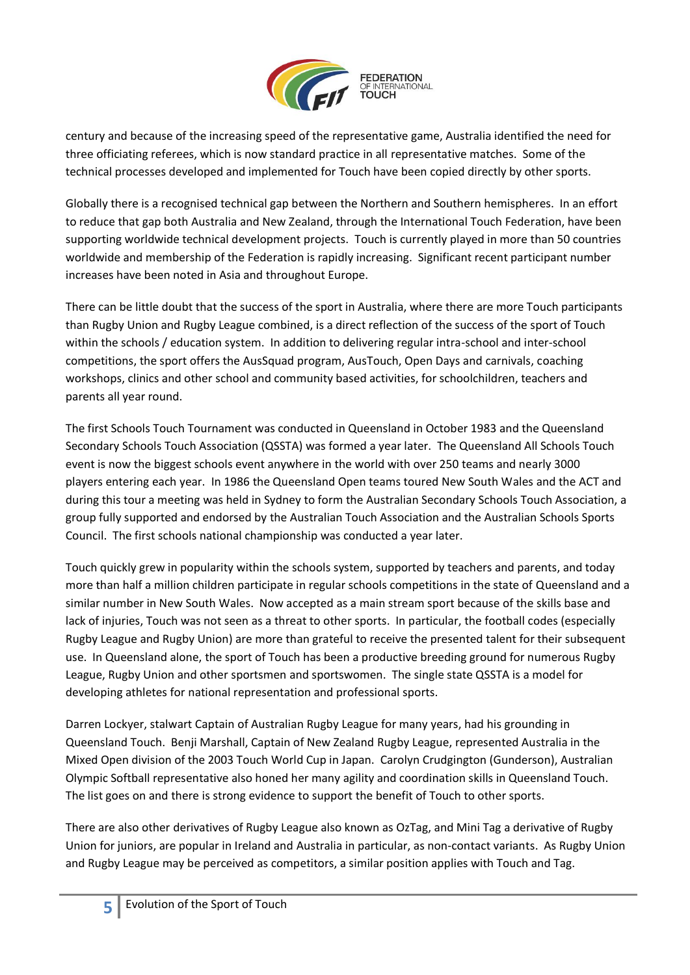

century and because of the increasing speed of the representative game, Australia identified the need for three officiating referees, which is now standard practice in all representative matches. Some of the technical processes developed and implemented for Touch have been copied directly by other sports.

Globally there is a recognised technical gap between the Northern and Southern hemispheres. In an effort to reduce that gap both Australia and New Zealand, through the International Touch Federation, have been supporting worldwide technical development projects. Touch is currently played in more than 50 countries worldwide and membership of the Federation is rapidly increasing. Significant recent participant number increases have been noted in Asia and throughout Europe.

There can be little doubt that the success of the sport in Australia, where there are more Touch participants than Rugby Union and Rugby League combined, is a direct reflection of the success of the sport of Touch within the schools / education system. In addition to delivering regular intra-school and inter-school competitions, the sport offers the AusSquad program, AusTouch, Open Days and carnivals, coaching workshops, clinics and other school and community based activities, for schoolchildren, teachers and parents all year round.

The first Schools Touch Tournament was conducted in Queensland in October 1983 and the Queensland Secondary Schools Touch Association (QSSTA) was formed a year later. The Queensland All Schools Touch event is now the biggest schools event anywhere in the world with over 250 teams and nearly 3000 players entering each year. In 1986 the Queensland Open teams toured New South Wales and the ACT and during this tour a meeting was held in Sydney to form the Australian Secondary Schools Touch Association, a group fully supported and endorsed by the Australian Touch Association and the Australian Schools Sports Council. The first schools national championship was conducted a year later.

Touch quickly grew in popularity within the schools system, supported by teachers and parents, and today more than half a million children participate in regular schools competitions in the state of Queensland and a similar number in New South Wales. Now accepted as a main stream sport because of the skills base and lack of injuries, Touch was not seen as a threat to other sports. In particular, the football codes (especially Rugby League and Rugby Union) are more than grateful to receive the presented talent for their subsequent use. In Queensland alone, the sport of Touch has been a productive breeding ground for numerous Rugby League, Rugby Union and other sportsmen and sportswomen. The single state QSSTA is a model for developing athletes for national representation and professional sports.

Darren Lockyer, stalwart Captain of Australian Rugby League for many years, had his grounding in Queensland Touch. Benji Marshall, Captain of New Zealand Rugby League, represented Australia in the Mixed Open division of the 2003 Touch World Cup in Japan. Carolyn Crudgington (Gunderson), Australian Olympic Softball representative also honed her many agility and coordination skills in Queensland Touch. The list goes on and there is strong evidence to support the benefit of Touch to other sports.

There are also other derivatives of Rugby League also known as OzTag, and Mini Tag a derivative of Rugby Union for juniors, are popular in Ireland and Australia in particular, as non-contact variants. As Rugby Union and Rugby League may be perceived as competitors, a similar position applies with Touch and Tag.